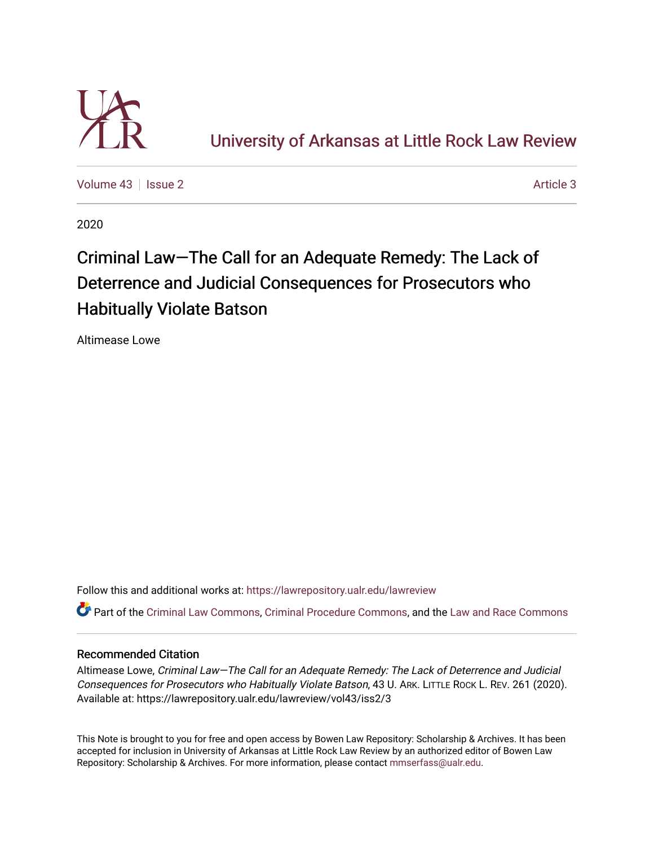

[University of Arkansas at Little Rock Law Review](https://lawrepository.ualr.edu/lawreview) 

[Volume 43](https://lawrepository.ualr.edu/lawreview/vol43) | [Issue 2](https://lawrepository.ualr.edu/lawreview/vol43/iss2) [Article 3](https://lawrepository.ualr.edu/lawreview/vol43/iss2/3) Article 3

2020

# Criminal Law—The Call for an Adequate Remedy: The Lack of Deterrence and Judicial Consequences for Prosecutors who Habitually Violate Batson

Altimease Lowe

Follow this and additional works at: [https://lawrepository.ualr.edu/lawreview](https://lawrepository.ualr.edu/lawreview?utm_source=lawrepository.ualr.edu%2Flawreview%2Fvol43%2Fiss2%2F3&utm_medium=PDF&utm_campaign=PDFCoverPages) 

Part of the [Criminal Law Commons,](https://network.bepress.com/hgg/discipline/912?utm_source=lawrepository.ualr.edu%2Flawreview%2Fvol43%2Fiss2%2F3&utm_medium=PDF&utm_campaign=PDFCoverPages) [Criminal Procedure Commons,](https://network.bepress.com/hgg/discipline/1073?utm_source=lawrepository.ualr.edu%2Flawreview%2Fvol43%2Fiss2%2F3&utm_medium=PDF&utm_campaign=PDFCoverPages) and the [Law and Race Commons](https://network.bepress.com/hgg/discipline/1300?utm_source=lawrepository.ualr.edu%2Flawreview%2Fvol43%2Fiss2%2F3&utm_medium=PDF&utm_campaign=PDFCoverPages)

# Recommended Citation

Altimease Lowe, Criminal Law—The Call for an Adequate Remedy: The Lack of Deterrence and Judicial Consequences for Prosecutors who Habitually Violate Batson, 43 U. ARK. LITTLE ROCK L. REV. 261 (2020). Available at: https://lawrepository.ualr.edu/lawreview/vol43/iss2/3

This Note is brought to you for free and open access by Bowen Law Repository: Scholarship & Archives. It has been accepted for inclusion in University of Arkansas at Little Rock Law Review by an authorized editor of Bowen Law Repository: Scholarship & Archives. For more information, please contact [mmserfass@ualr.edu](mailto:mmserfass@ualr.edu).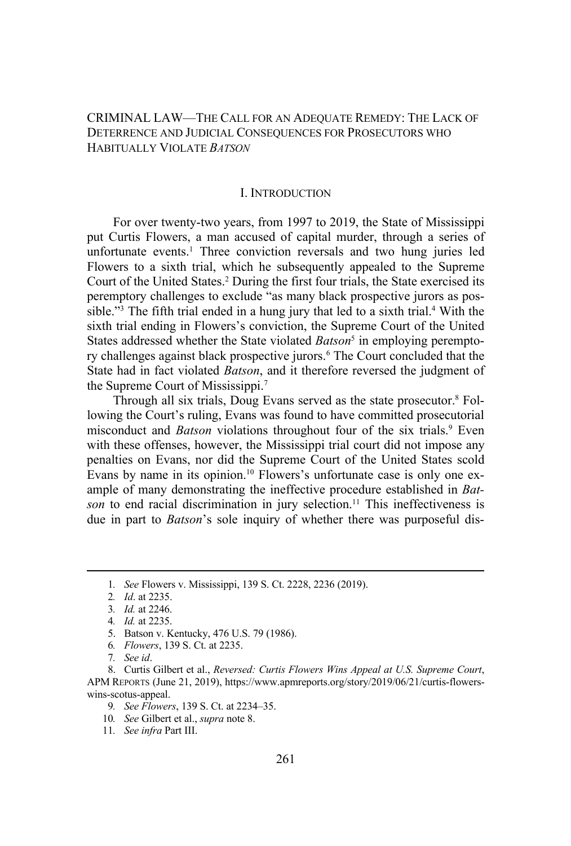CRIMINAL LAW—THE CALL FOR AN ADEQUATE REMEDY: THE LACK OF DETERRENCE AND JUDICIAL CONSEQUENCES FOR PROSECUTORS WHO HABITUALLY VIOLATE *BATSON*

#### I. INTRODUCTION

For over twenty-two years, from 1997 to 2019, the State of Mississippi put Curtis Flowers, a man accused of capital murder, through a series of unfortunate events.<sup>1</sup> Three conviction reversals and two hung juries led Flowers to a sixth trial, which he subsequently appealed to the Supreme Court of the United States.2 During the first four trials, the State exercised its peremptory challenges to exclude "as many black prospective jurors as possible."<sup>3</sup> The fifth trial ended in a hung jury that led to a sixth trial. $4$  With the sixth trial ending in Flowers's conviction, the Supreme Court of the United States addressed whether the State violated *Batson*<sup>5</sup> in employing peremptory challenges against black prospective jurors.<sup>6</sup> The Court concluded that the State had in fact violated *Batson*, and it therefore reversed the judgment of the Supreme Court of Mississippi.7

Through all six trials, Doug Evans served as the state prosecutor.<sup>8</sup> Following the Court's ruling, Evans was found to have committed prosecutorial misconduct and *Batson* violations throughout four of the six trials.<sup>9</sup> Even with these offenses, however, the Mississippi trial court did not impose any penalties on Evans, nor did the Supreme Court of the United States scold Evans by name in its opinion.<sup>10</sup> Flowers's unfortunate case is only one example of many demonstrating the ineffective procedure established in *Batson* to end racial discrimination in jury selection.<sup>11</sup> This ineffectiveness is due in part to *Batson*'s sole inquiry of whether there was purposeful dis-

<sup>1</sup>*. See* Flowers v. Mississippi, 139 S. Ct. 2228, 2236 (2019).

<sup>2</sup>*. Id*. at 2235.

<sup>3</sup>*. Id.* at 2246.

<sup>4</sup>*. Id.* at 2235.

<sup>5.</sup> Batson v. Kentucky, 476 U.S. 79 (1986).

<sup>6</sup>*. Flowers*, 139 S. Ct. at 2235.

<sup>7</sup>*. See id*.

<sup>8.</sup> Curtis Gilbert et al., *Reversed: Curtis Flowers Wins Appeal at U.S. Supreme Court*, APM REPORTS (June 21, 2019), https://www.apmreports.org/story/2019/06/21/curtis-flowerswins-scotus-appeal.

<sup>9</sup>*. See Flowers*, 139 S. Ct. at 2234–35.

<sup>10</sup>*. See* Gilbert et al., *supra* note 8.

<sup>11</sup>*. See infra* Part III.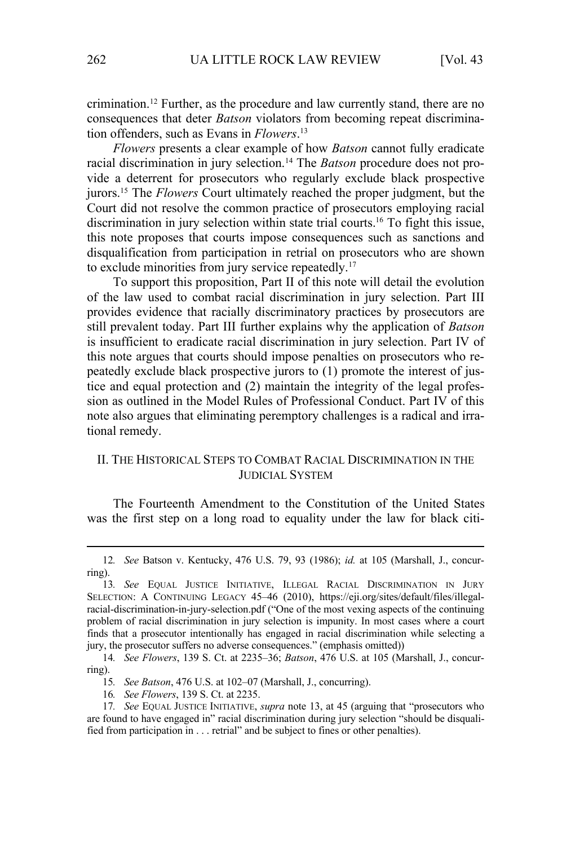crimination.12 Further, as the procedure and law currently stand, there are no consequences that deter *Batson* violators from becoming repeat discrimination offenders, such as Evans in *Flowers*. 13

*Flowers* presents a clear example of how *Batson* cannot fully eradicate racial discrimination in jury selection.14 The *Batson* procedure does not provide a deterrent for prosecutors who regularly exclude black prospective jurors.15 The *Flowers* Court ultimately reached the proper judgment, but the Court did not resolve the common practice of prosecutors employing racial discrimination in jury selection within state trial courts.<sup>16</sup> To fight this issue, this note proposes that courts impose consequences such as sanctions and disqualification from participation in retrial on prosecutors who are shown to exclude minorities from jury service repeatedly.<sup>17</sup>

To support this proposition, Part II of this note will detail the evolution of the law used to combat racial discrimination in jury selection. Part III provides evidence that racially discriminatory practices by prosecutors are still prevalent today. Part III further explains why the application of *Batson* is insufficient to eradicate racial discrimination in jury selection. Part IV of this note argues that courts should impose penalties on prosecutors who repeatedly exclude black prospective jurors to (1) promote the interest of justice and equal protection and (2) maintain the integrity of the legal profession as outlined in the Model Rules of Professional Conduct. Part IV of this note also argues that eliminating peremptory challenges is a radical and irrational remedy.

# II. THE HISTORICAL STEPS TO COMBAT RACIAL DISCRIMINATION IN THE JUDICIAL SYSTEM

The Fourteenth Amendment to the Constitution of the United States was the first step on a long road to equality under the law for black citi-

<sup>12</sup>*. See* Batson v. Kentucky, 476 U.S. 79, 93 (1986); *id.* at 105 (Marshall, J., concurring).

<sup>13</sup>*. See* EQUAL JUSTICE INITIATIVE, ILLEGAL RACIAL DISCRIMINATION IN JURY SELECTION: A CONTINUING LEGACY 45–46 (2010), https://eji.org/sites/default/files/illegalracial-discrimination-in-jury-selection.pdf ("One of the most vexing aspects of the continuing problem of racial discrimination in jury selection is impunity. In most cases where a court finds that a prosecutor intentionally has engaged in racial discrimination while selecting a jury, the prosecutor suffers no adverse consequences." (emphasis omitted))

<sup>14</sup>*. See Flowers*, 139 S. Ct. at 2235–36; *Batson*, 476 U.S. at 105 (Marshall, J., concurring).

<sup>15</sup>*. See Batson*, 476 U.S. at 102–07 (Marshall, J., concurring).

<sup>16</sup>*. See Flowers*, 139 S. Ct. at 2235.

<sup>17</sup>*. See* EQUAL JUSTICE INITIATIVE, *supra* note 13, at 45 (arguing that "prosecutors who are found to have engaged in" racial discrimination during jury selection "should be disqualified from participation in . . . retrial" and be subject to fines or other penalties).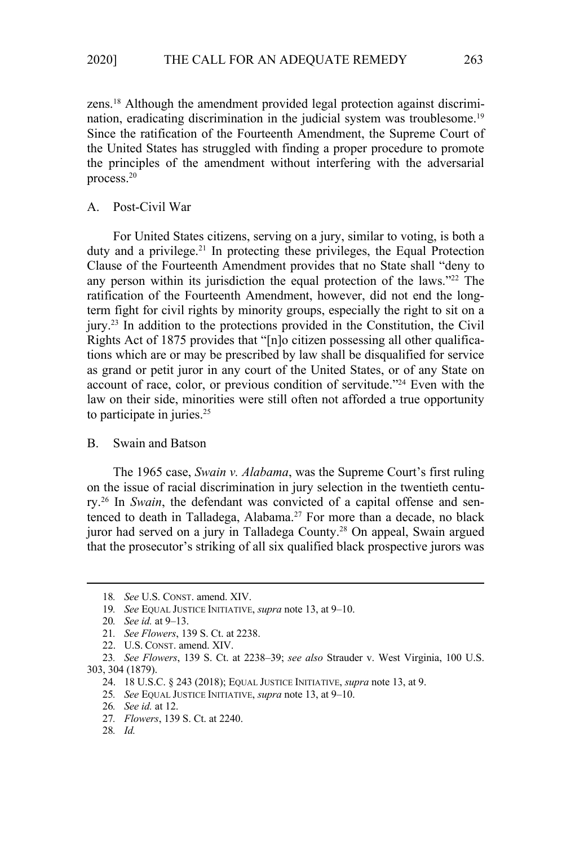zens.18 Although the amendment provided legal protection against discrimination, eradicating discrimination in the judicial system was troublesome.<sup>19</sup> Since the ratification of the Fourteenth Amendment, the Supreme Court of the United States has struggled with finding a proper procedure to promote the principles of the amendment without interfering with the adversarial process.20

#### A. Post-Civil War

For United States citizens, serving on a jury, similar to voting, is both a duty and a privilege.<sup>21</sup> In protecting these privileges, the Equal Protection Clause of the Fourteenth Amendment provides that no State shall "deny to any person within its jurisdiction the equal protection of the laws."<sup>22</sup> The ratification of the Fourteenth Amendment, however, did not end the longterm fight for civil rights by minority groups, especially the right to sit on a jury.23 In addition to the protections provided in the Constitution, the Civil Rights Act of 1875 provides that "[n]o citizen possessing all other qualifications which are or may be prescribed by law shall be disqualified for service as grand or petit juror in any court of the United States, or of any State on account of race, color, or previous condition of servitude."24 Even with the law on their side, minorities were still often not afforded a true opportunity to participate in juries.<sup>25</sup>

#### B. Swain and Batson

The 1965 case, *Swain v. Alabama*, was the Supreme Court's first ruling on the issue of racial discrimination in jury selection in the twentieth century.26 In *Swain*, the defendant was convicted of a capital offense and sentenced to death in Talladega, Alabama.<sup>27</sup> For more than a decade, no black juror had served on a jury in Talladega County.28 On appeal, Swain argued that the prosecutor's striking of all six qualified black prospective jurors was

<sup>18</sup>*. See* U.S. CONST. amend. XIV.

<sup>19</sup>*. See* EQUAL JUSTICE INITIATIVE, *supra* note 13, at 9–10.

<sup>20</sup>*. See id.* at 9–13.

<sup>21</sup>*. See Flowers*, 139 S. Ct. at 2238.

<sup>22.</sup> U.S. CONST. amend. XIV.

<sup>23</sup>*. See Flowers*, 139 S. Ct. at 2238–39; *see also* Strauder v. West Virginia, 100 U.S. 303, 304 (1879).

<sup>24. 18</sup> U.S.C. § 243 (2018); EQUAL JUSTICE INITIATIVE, *supra* note 13, at 9.

<sup>25</sup>*. See* EQUAL JUSTICE INITIATIVE, *supra* note 13, at 9–10.

<sup>26</sup>*. See id.* at 12.

<sup>27</sup>*. Flowers*, 139 S. Ct. at 2240.

<sup>28</sup>*. Id.*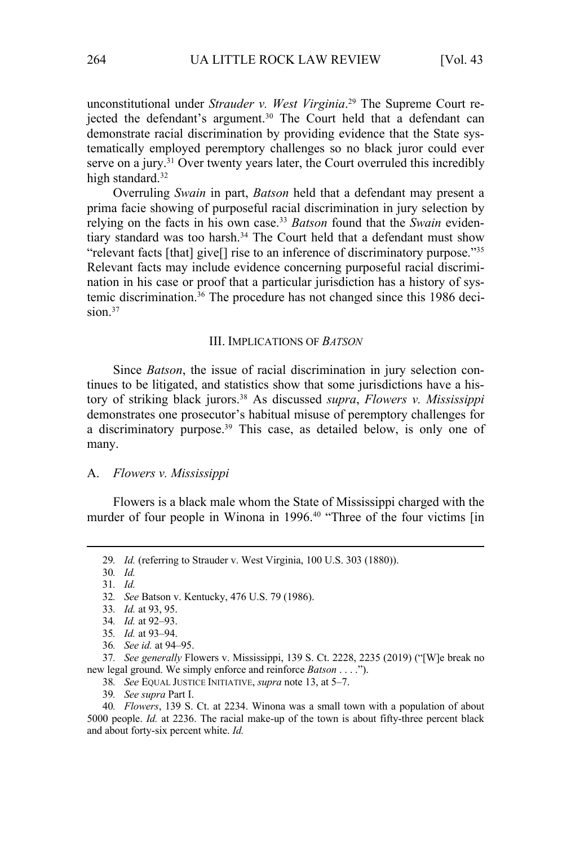unconstitutional under *Strauder v. West Virginia*. 29 The Supreme Court rejected the defendant's argument.<sup>30</sup> The Court held that a defendant can demonstrate racial discrimination by providing evidence that the State systematically employed peremptory challenges so no black juror could ever serve on a jury.<sup>31</sup> Over twenty years later, the Court overruled this incredibly high standard.<sup>32</sup>

Overruling *Swain* in part, *Batson* held that a defendant may present a prima facie showing of purposeful racial discrimination in jury selection by relying on the facts in his own case.33 *Batson* found that the *Swain* evidentiary standard was too harsh.<sup>34</sup> The Court held that a defendant must show "relevant facts [that] give[] rise to an inference of discriminatory purpose."35 Relevant facts may include evidence concerning purposeful racial discrimination in his case or proof that a particular jurisdiction has a history of systemic discrimination.<sup>36</sup> The procedure has not changed since this 1986 decision.<sup>37</sup>

#### III. IMPLICATIONS OF *BATSON*

Since *Batson*, the issue of racial discrimination in jury selection continues to be litigated, and statistics show that some jurisdictions have a history of striking black jurors.38 As discussed *supra*, *Flowers v. Mississippi* demonstrates one prosecutor's habitual misuse of peremptory challenges for a discriminatory purpose.<sup>39</sup> This case, as detailed below, is only one of many.

#### A. *Flowers v. Mississippi*

Flowers is a black male whom the State of Mississippi charged with the murder of four people in Winona in 1996.<sup>40</sup> "Three of the four victims [in

<sup>29</sup>*. Id.* (referring to Strauder v. West Virginia, 100 U.S. 303 (1880)).

<sup>30</sup>*. Id.*

<sup>31</sup>*. Id.*

<sup>32</sup>*. See* Batson v. Kentucky, 476 U.S. 79 (1986).

<sup>33</sup>*. Id.* at 93, 95.

<sup>34</sup>*. Id.* at 92–93.

<sup>35</sup>*. Id.* at 93–94.

<sup>36</sup>*. See id.* at 94–95.

<sup>37</sup>*. See generally* Flowers v. Mississippi, 139 S. Ct. 2228, 2235 (2019) ("[W]e break no new legal ground. We simply enforce and reinforce *Batson* . . . .").

<sup>38</sup>*. See* EQUAL JUSTICE INITIATIVE, *supra* note 13, at 5–7.

<sup>39</sup>*. See supra* Part I.

<sup>40</sup>*. Flowers*, 139 S. Ct. at 2234. Winona was a small town with a population of about 5000 people. *Id.* at 2236. The racial make-up of the town is about fifty-three percent black and about forty-six percent white. *Id.*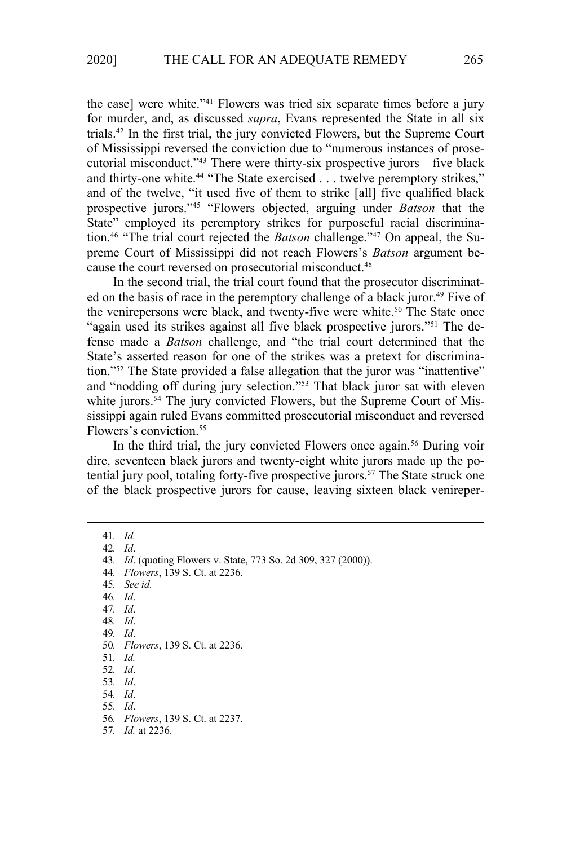the case] were white."41 Flowers was tried six separate times before a jury for murder, and, as discussed *supra*, Evans represented the State in all six trials.42 In the first trial, the jury convicted Flowers, but the Supreme Court of Mississippi reversed the conviction due to "numerous instances of prosecutorial misconduct."43 There were thirty-six prospective jurors—five black and thirty-one white.<sup>44</sup> "The State exercised . . . twelve peremptory strikes," and of the twelve, "it used five of them to strike [all] five qualified black prospective jurors."45 "Flowers objected, arguing under *Batson* that the State" employed its peremptory strikes for purposeful racial discrimination.46 "The trial court rejected the *Batson* challenge."47 On appeal, the Supreme Court of Mississippi did not reach Flowers's *Batson* argument because the court reversed on prosecutorial misconduct.<sup>48</sup>

In the second trial, the trial court found that the prosecutor discriminated on the basis of race in the peremptory challenge of a black juror.<sup>49</sup> Five of the venirepersons were black, and twenty-five were white.<sup>50</sup> The State once "again used its strikes against all five black prospective jurors."51 The defense made a *Batson* challenge, and "the trial court determined that the State's asserted reason for one of the strikes was a pretext for discrimination."52 The State provided a false allegation that the juror was "inattentive" and "nodding off during jury selection."53 That black juror sat with eleven white jurors.<sup>54</sup> The jury convicted Flowers, but the Supreme Court of Mississippi again ruled Evans committed prosecutorial misconduct and reversed Flowers's conviction.55

In the third trial, the jury convicted Flowers once again.<sup>56</sup> During voir dire, seventeen black jurors and twenty-eight white jurors made up the potential jury pool, totaling forty-five prospective jurors.<sup>57</sup> The State struck one of the black prospective jurors for cause, leaving sixteen black venireper-

41*. Id.*

42*. Id*.

44*. Flowers*, 139 S. Ct. at 2236.

45*. See id.*

- 46*. Id*.
- 47*. Id*.

48*. Id*.

49*. Id*.

50*. Flowers*, 139 S. Ct. at 2236.

51*. Id.*

52*. Id*.

53*. Id*.

54*. Id*.

55*. Id*.

56*. Flowers*, 139 S. Ct. at 2237.

57*. Id.* at 2236.

<sup>43</sup>*. Id*. (quoting Flowers v. State, 773 So. 2d 309, 327 (2000)).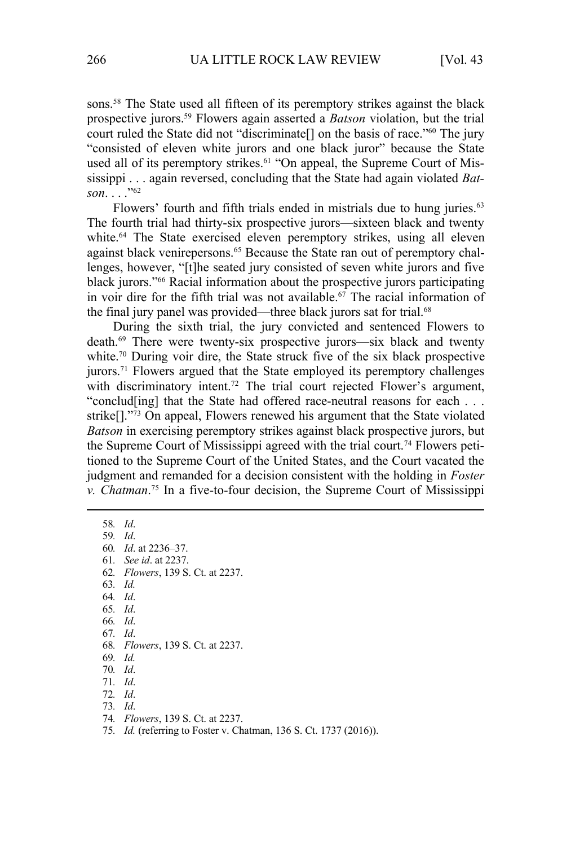sons.<sup>58</sup> The State used all fifteen of its peremptory strikes against the black prospective jurors.59 Flowers again asserted a *Batson* violation, but the trial court ruled the State did not "discriminate[] on the basis of race."60 The jury "consisted of eleven white jurors and one black juror" because the State used all of its peremptory strikes.<sup>61</sup> "On appeal, the Supreme Court of Mississippi . . . again reversed, concluding that the State had again violated *Batson*. . . ."62

Flowers' fourth and fifth trials ended in mistrials due to hung juries.<sup>63</sup> The fourth trial had thirty-six prospective jurors—sixteen black and twenty white.<sup>64</sup> The State exercised eleven peremptory strikes, using all eleven against black venirepersons.<sup>65</sup> Because the State ran out of peremptory challenges, however, "[t]he seated jury consisted of seven white jurors and five black jurors."66 Racial information about the prospective jurors participating in voir dire for the fifth trial was not available.<sup>67</sup> The racial information of the final jury panel was provided—three black jurors sat for trial.<sup>68</sup>

During the sixth trial, the jury convicted and sentenced Flowers to death.69 There were twenty-six prospective jurors—six black and twenty white.<sup>70</sup> During voir dire, the State struck five of the six black prospective jurors.<sup>71</sup> Flowers argued that the State employed its peremptory challenges with discriminatory intent.<sup>72</sup> The trial court rejected Flower's argument, "conclud[ing] that the State had offered race-neutral reasons for each . . . strike[]."73 On appeal, Flowers renewed his argument that the State violated *Batson* in exercising peremptory strikes against black prospective jurors, but the Supreme Court of Mississippi agreed with the trial court.<sup>74</sup> Flowers petitioned to the Supreme Court of the United States, and the Court vacated the judgment and remanded for a decision consistent with the holding in *Foster v. Chatman*. 75 In a five-to-four decision, the Supreme Court of Mississippi

58*. Id*. 59*. Id*. 60*. Id*. at 2236–37. 61*. See id*. at 2237. 62*. Flowers*, 139 S. Ct. at 2237. 63*. Id.* 64*. Id*. 65*. Id*. 66*. Id*. 67*. Id*. 68*. Flowers*, 139 S. Ct. at 2237. 69*. Id.* 70*. Id*. 71*. Id*. 72*. Id*. 73*. Id*. 74*. Flowers*, 139 S. Ct. at 2237.

<sup>75</sup>*. Id.* (referring to Foster v. Chatman, 136 S. Ct. 1737 (2016)).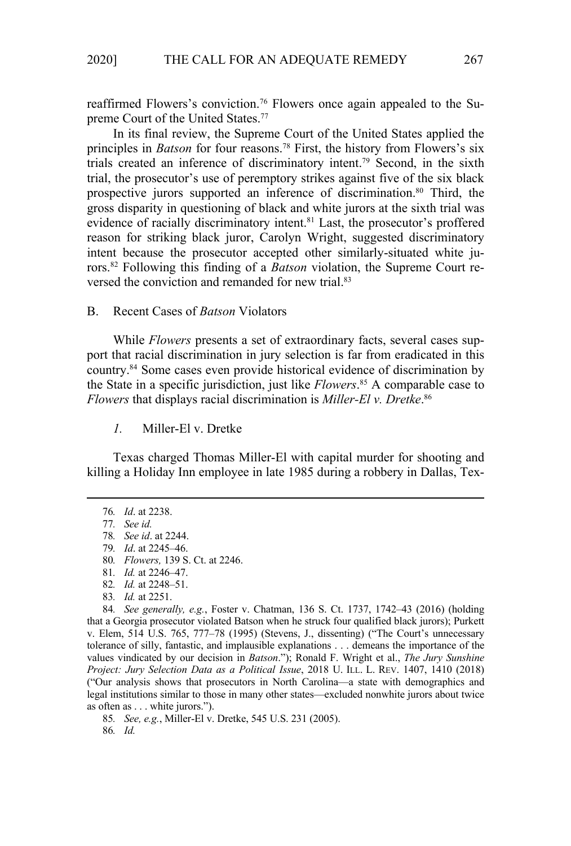reaffirmed Flowers's conviction.76 Flowers once again appealed to the Supreme Court of the United States.<sup>77</sup>

In its final review, the Supreme Court of the United States applied the principles in *Batson* for four reasons.78 First, the history from Flowers's six trials created an inference of discriminatory intent.79 Second, in the sixth trial, the prosecutor's use of peremptory strikes against five of the six black prospective jurors supported an inference of discrimination.<sup>80</sup> Third, the gross disparity in questioning of black and white jurors at the sixth trial was evidence of racially discriminatory intent.<sup>81</sup> Last, the prosecutor's proffered reason for striking black juror, Carolyn Wright, suggested discriminatory intent because the prosecutor accepted other similarly-situated white jurors.82 Following this finding of a *Batson* violation, the Supreme Court reversed the conviction and remanded for new trial.83

#### B. Recent Cases of *Batson* Violators

While *Flowers* presents a set of extraordinary facts, several cases support that racial discrimination in jury selection is far from eradicated in this country.84 Some cases even provide historical evidence of discrimination by the State in a specific jurisdiction, just like *Flowers*. 85 A comparable case to *Flowers* that displays racial discrimination is *Miller-El v. Dretke*. 86

*1.* Miller-El v. Dretke

Texas charged Thomas Miller-El with capital murder for shooting and killing a Holiday Inn employee in late 1985 during a robbery in Dallas, Tex-

84*. See generally, e.g.*, Foster v. Chatman, 136 S. Ct. 1737, 1742–43 (2016) (holding that a Georgia prosecutor violated Batson when he struck four qualified black jurors); Purkett v. Elem, 514 U.S. 765, 777–78 (1995) (Stevens, J., dissenting) ("The Court's unnecessary tolerance of silly, fantastic, and implausible explanations . . . demeans the importance of the values vindicated by our decision in *Batson*."); Ronald F. Wright et al., *The Jury Sunshine Project: Jury Selection Data as a Political Issue*, 2018 U. ILL. L. REV. 1407, 1410 (2018) ("Our analysis shows that prosecutors in North Carolina—a state with demographics and legal institutions similar to those in many other states—excluded nonwhite jurors about twice as often as . . . white jurors.").

85*. See, e.g.*, Miller-El v. Dretke, 545 U.S. 231 (2005).

86*. Id.*

<sup>76</sup>*. Id*. at 2238.

<sup>77</sup>*. See id.* 

<sup>78</sup>*. See id*. at 2244. 79*. Id*. at 2245–46.

<sup>80</sup>*. Flowers,* 139 S. Ct. at 2246.

<sup>81</sup>*. Id.* at 2246–47. 82*. Id.* at 2248–51.

<sup>83</sup>*. Id.* at 2251.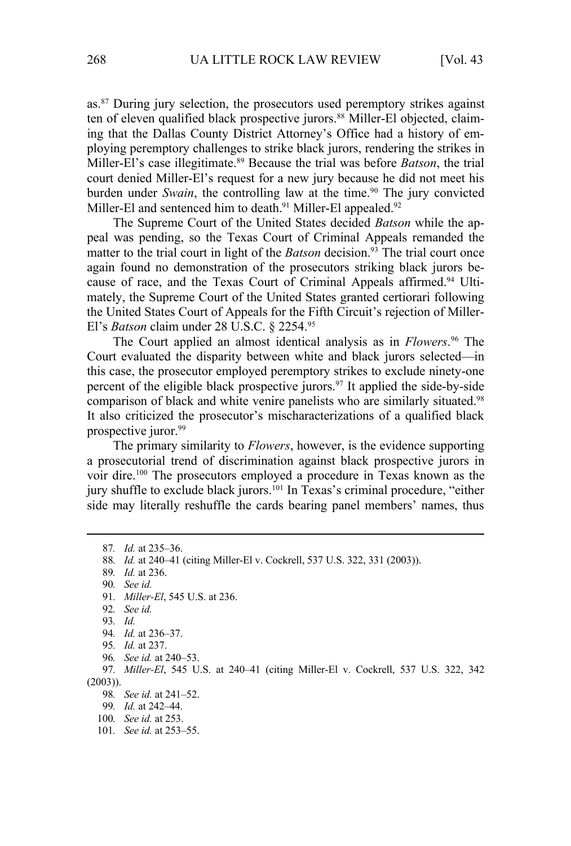as.<sup>87</sup> During jury selection, the prosecutors used peremptory strikes against ten of eleven qualified black prospective jurors.<sup>88</sup> Miller-El objected, claiming that the Dallas County District Attorney's Office had a history of employing peremptory challenges to strike black jurors, rendering the strikes in Miller-El's case illegitimate.89 Because the trial was before *Batson*, the trial court denied Miller-El's request for a new jury because he did not meet his burden under *Swain*, the controlling law at the time.<sup>90</sup> The jury convicted Miller-El and sentenced him to death.<sup>91</sup> Miller-El appealed.<sup>92</sup>

The Supreme Court of the United States decided *Batson* while the appeal was pending, so the Texas Court of Criminal Appeals remanded the matter to the trial court in light of the *Batson* decision.<sup>93</sup> The trial court once again found no demonstration of the prosecutors striking black jurors because of race, and the Texas Court of Criminal Appeals affirmed.<sup>94</sup> Ultimately, the Supreme Court of the United States granted certiorari following the United States Court of Appeals for the Fifth Circuit's rejection of Miller-El's *Batson* claim under 28 U.S.C. § 2254.95

The Court applied an almost identical analysis as in *Flowers*. 96 The Court evaluated the disparity between white and black jurors selected—in this case, the prosecutor employed peremptory strikes to exclude ninety-one percent of the eligible black prospective jurors.97 It applied the side-by-side comparison of black and white venire panelists who are similarly situated.<sup>98</sup> It also criticized the prosecutor's mischaracterizations of a qualified black prospective juror.<sup>99</sup>

The primary similarity to *Flowers*, however, is the evidence supporting a prosecutorial trend of discrimination against black prospective jurors in voir dire.100 The prosecutors employed a procedure in Texas known as the jury shuffle to exclude black jurors.<sup>101</sup> In Texas's criminal procedure, "either side may literally reshuffle the cards bearing panel members' names, thus

<sup>87</sup>*. Id.* at 235–36.

<sup>88</sup>*. Id.* at 240–41 (citing Miller-El v. Cockrell, 537 U.S. 322, 331 (2003)).

<sup>89</sup>*. Id.* at 236.

<sup>90</sup>*. See id.* 

<sup>91</sup>*. Miller-El*, 545 U.S. at 236.

<sup>92</sup>*. See id.*

<sup>93</sup>*. Id.*

<sup>94</sup>*. Id.* at 236–37.

<sup>95</sup>*. Id.* at 237.

<sup>96</sup>*. See id.* at 240–53.

<sup>97</sup>*. Miller-El*, 545 U.S. at 240–41 (citing Miller-El v. Cockrell, 537 U.S. 322, 342 (2003)).

<sup>98</sup>*. See id.* at 241–52.

<sup>99</sup>*. Id.* at 242–44.

<sup>100</sup>*. See id.* at 253.

<sup>101</sup>*. See id.* at 253–55.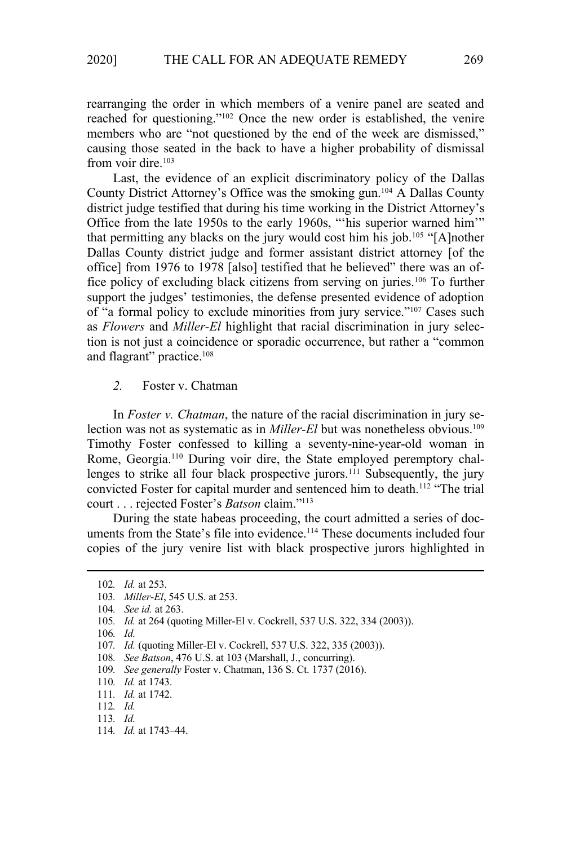rearranging the order in which members of a venire panel are seated and reached for questioning."102 Once the new order is established, the venire members who are "not questioned by the end of the week are dismissed," causing those seated in the back to have a higher probability of dismissal from voir dire.<sup>103</sup>

Last, the evidence of an explicit discriminatory policy of the Dallas County District Attorney's Office was the smoking gun.104 A Dallas County district judge testified that during his time working in the District Attorney's Office from the late 1950s to the early 1960s, "'his superior warned him'" that permitting any blacks on the jury would cost him his job.<sup>105</sup> "[A]nother Dallas County district judge and former assistant district attorney [of the office] from 1976 to 1978 [also] testified that he believed" there was an office policy of excluding black citizens from serving on juries.106 To further support the judges' testimonies, the defense presented evidence of adoption of "a formal policy to exclude minorities from jury service."107 Cases such as *Flowers* and *Miller-El* highlight that racial discrimination in jury selection is not just a coincidence or sporadic occurrence, but rather a "common and flagrant" practice.<sup>108</sup>

# *2.* Foster v. Chatman

In *Foster v. Chatman*, the nature of the racial discrimination in jury selection was not as systematic as in *Miller-El* but was nonetheless obvious.<sup>109</sup> Timothy Foster confessed to killing a seventy-nine-year-old woman in Rome, Georgia.110 During voir dire, the State employed peremptory challenges to strike all four black prospective jurors.<sup>111</sup> Subsequently, the jury convicted Foster for capital murder and sentenced him to death.<sup>112</sup> "The trial court . . . rejected Foster's *Batson* claim."113

During the state habeas proceeding, the court admitted a series of documents from the State's file into evidence.<sup>114</sup> These documents included four copies of the jury venire list with black prospective jurors highlighted in

106*. Id.* 

<sup>102</sup>*. Id.* at 253.

<sup>103</sup>*. Miller-El*, 545 U.S. at 253.

<sup>104</sup>*. See id.* at 263.

<sup>105</sup>*. Id.* at 264 (quoting Miller-El v. Cockrell, 537 U.S. 322, 334 (2003)).

<sup>107</sup>*. Id.* (quoting Miller-El v. Cockrell, 537 U.S. 322, 335 (2003)).

<sup>108</sup>*. See Batson*, 476 U.S. at 103 (Marshall, J., concurring).

<sup>109</sup>*. See generally* Foster v. Chatman, 136 S. Ct. 1737 (2016).

<sup>110</sup>*. Id.* at 1743.

<sup>111</sup>*. Id.* at 1742.

<sup>112</sup>*. Id.*

<sup>113</sup>*. Id.*

<sup>114</sup>*. Id.* at 1743–44.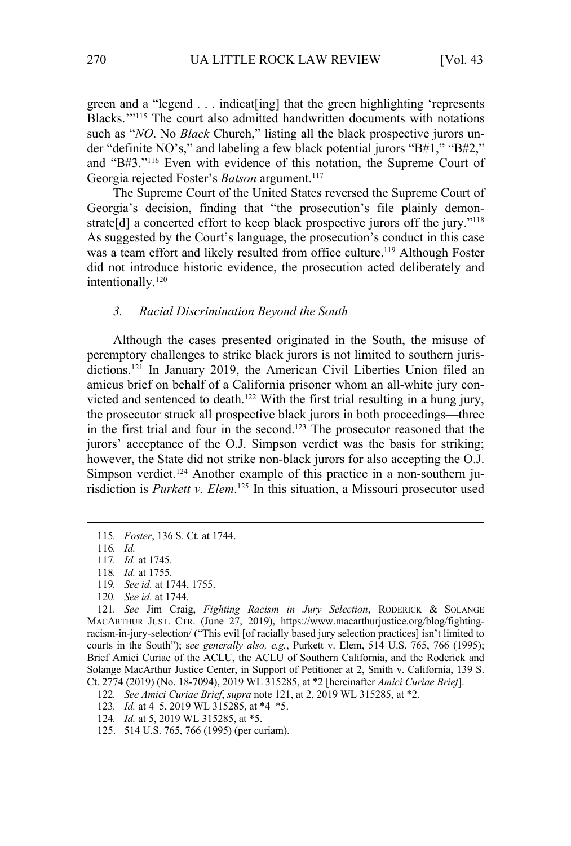green and a "legend . . . indicat[ing] that the green highlighting 'represents Blacks.'"115 The court also admitted handwritten documents with notations such as "*NO*. No *Black* Church," listing all the black prospective jurors under "definite NO's," and labeling a few black potential jurors "B#1," "B#2," and "B#3."116 Even with evidence of this notation, the Supreme Court of Georgia rejected Foster's *Batson* argument.<sup>117</sup>

The Supreme Court of the United States reversed the Supreme Court of Georgia's decision, finding that "the prosecution's file plainly demonstrate[d] a concerted effort to keep black prospective jurors off the jury."<sup>118</sup> As suggested by the Court's language, the prosecution's conduct in this case was a team effort and likely resulted from office culture.<sup>119</sup> Although Foster did not introduce historic evidence, the prosecution acted deliberately and intentionally.<sup>120</sup>

#### *3. Racial Discrimination Beyond the South*

Although the cases presented originated in the South, the misuse of peremptory challenges to strike black jurors is not limited to southern jurisdictions.<sup>121</sup> In January 2019, the American Civil Liberties Union filed an amicus brief on behalf of a California prisoner whom an all-white jury convicted and sentenced to death.<sup>122</sup> With the first trial resulting in a hung jury, the prosecutor struck all prospective black jurors in both proceedings—three in the first trial and four in the second.123 The prosecutor reasoned that the jurors' acceptance of the O.J. Simpson verdict was the basis for striking; however, the State did not strike non-black jurors for also accepting the O.J. Simpson verdict.<sup>124</sup> Another example of this practice in a non-southern jurisdiction is *Purkett v. Elem*. 125 In this situation, a Missouri prosecutor used

- 119*. See id.* at 1744, 1755.
- 120*. See id.* at 1744.

- 123*. Id.* at 4–5, 2019 WL 315285, at \*4–\*5.
- 124*. Id.* at 5, 2019 WL 315285, at \*5.
- 125. 514 U.S. 765, 766 (1995) (per curiam).

<sup>115</sup>*. Foster*, 136 S. Ct. at 1744.

<sup>116</sup>*. Id.*

<sup>117</sup>*. Id.* at 1745.

<sup>118</sup>*. Id.* at 1755.

<sup>121</sup>*. See* Jim Craig, *Fighting Racism in Jury Selection*, RODERICK & SOLANGE MACARTHUR JUST. CTR. (June 27, 2019), https://www.macarthurjustice.org/blog/fightingracism-in-jury-selection/ ("This evil [of racially based jury selection practices] isn't limited to courts in the South"); s*ee generally also, e.g.*, Purkett v. Elem, 514 U.S. 765, 766 (1995); Brief Amici Curiae of the ACLU, the ACLU of Southern California, and the Roderick and Solange MacArthur Justice Center, in Support of Petitioner at 2, Smith v. California, 139 S. Ct. 2774 (2019) (No. 18-7094), 2019 WL 315285, at \*2 [hereinafter *Amici Curiae Brief*].

<sup>122</sup>*. See Amici Curiae Brief*, *supra* note 121, at 2, 2019 WL 315285, at \*2.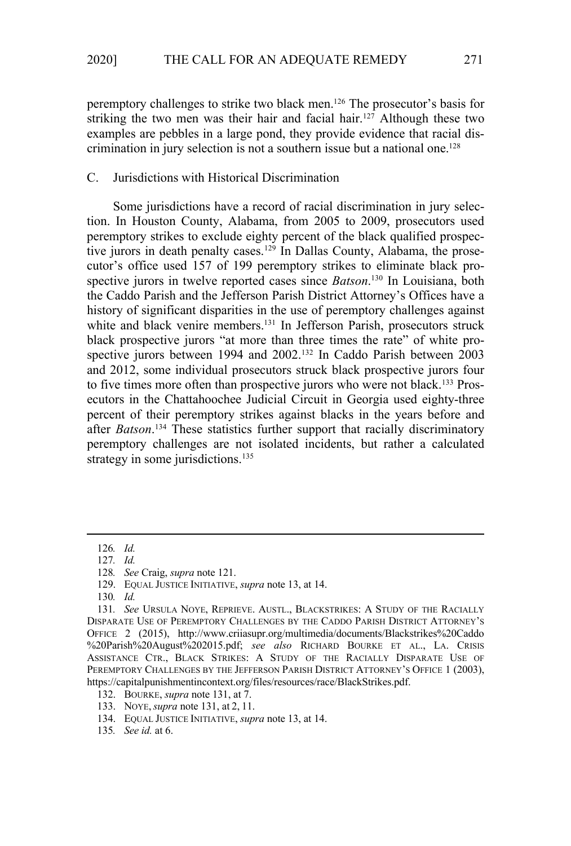peremptory challenges to strike two black men.126 The prosecutor's basis for striking the two men was their hair and facial hair.<sup>127</sup> Although these two examples are pebbles in a large pond, they provide evidence that racial discrimination in jury selection is not a southern issue but a national one.<sup>128</sup>

## C. Jurisdictions with Historical Discrimination

Some jurisdictions have a record of racial discrimination in jury selection. In Houston County, Alabama, from 2005 to 2009, prosecutors used peremptory strikes to exclude eighty percent of the black qualified prospective jurors in death penalty cases.<sup>129</sup> In Dallas County, Alabama, the prosecutor's office used 157 of 199 peremptory strikes to eliminate black prospective jurors in twelve reported cases since *Batson*. 130 In Louisiana, both the Caddo Parish and the Jefferson Parish District Attorney's Offices have a history of significant disparities in the use of peremptory challenges against white and black venire members.<sup>131</sup> In Jefferson Parish, prosecutors struck black prospective jurors "at more than three times the rate" of white prospective jurors between 1994 and 2002.<sup>132</sup> In Caddo Parish between 2003 and 2012, some individual prosecutors struck black prospective jurors four to five times more often than prospective jurors who were not black.<sup>133</sup> Prosecutors in the Chattahoochee Judicial Circuit in Georgia used eighty-three percent of their peremptory strikes against blacks in the years before and after *Batson*. 134 These statistics further support that racially discriminatory peremptory challenges are not isolated incidents, but rather a calculated strategy in some jurisdictions.<sup>135</sup>

<sup>126</sup>*. Id.*

<sup>127</sup>*. Id.*

<sup>128</sup>*. See* Craig, *supra* note 121.

<sup>129.</sup> EQUAL JUSTICE INITIATIVE, *supra* note 13, at 14.

<sup>130</sup>*. Id.*

<sup>131</sup>*. See* URSULA NOYE, REPRIEVE. AUSTL., BLACKSTRIKES: A STUDY OF THE RACIALLY DISPARATE USE OF PEREMPTORY CHALLENGES BY THE CADDO PARISH DISTRICT ATTORNEY'S OFFICE 2 (2015), http://www.criiasupr.org/multimedia/documents/Blackstrikes%20Caddo %20Parish%20August%202015.pdf; *see also* RICHARD BOURKE ET AL., LA. CRISIS ASSISTANCE CTR., BLACK STRIKES: A STUDY OF THE RACIALLY DISPARATE USE OF PEREMPTORY CHALLENGES BY THE JEFFERSON PARISH DISTRICT ATTORNEY'S OFFICE 1 (2003), https://capitalpunishmentincontext.org/files/resources/race/BlackStrikes.pdf.

<sup>132.</sup> BOURKE, *supra* note 131, at 7.

<sup>133.</sup> NOYE,*supra* note 131, at 2, 11.

<sup>134.</sup> EQUAL JUSTICE INITIATIVE, *supra* note 13, at 14.

<sup>135</sup>*. See id.* at 6.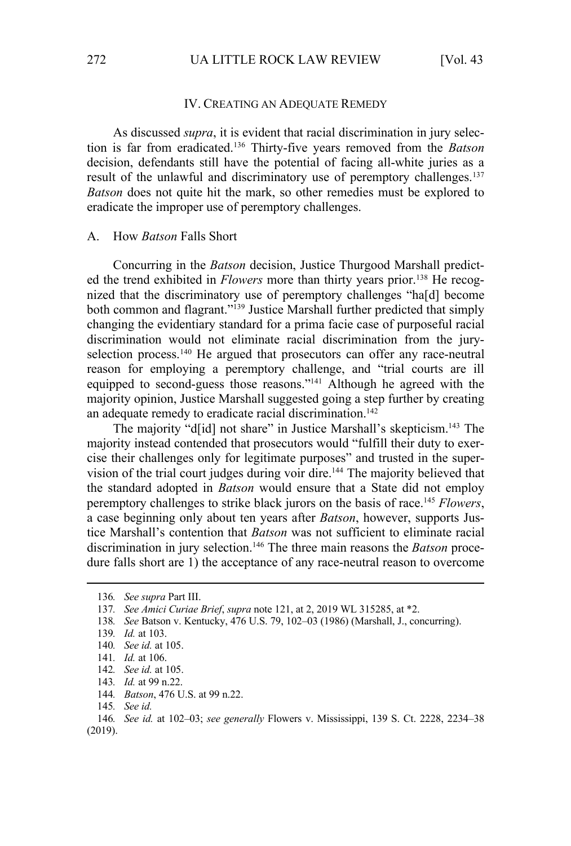#### IV. CREATING AN ADEQUATE REMEDY

As discussed *supra*, it is evident that racial discrimination in jury selection is far from eradicated.136 Thirty-five years removed from the *Batson* decision, defendants still have the potential of facing all-white juries as a result of the unlawful and discriminatory use of peremptory challenges.<sup>137</sup> *Batson* does not quite hit the mark, so other remedies must be explored to eradicate the improper use of peremptory challenges.

#### A. How *Batson* Falls Short

Concurring in the *Batson* decision, Justice Thurgood Marshall predicted the trend exhibited in *Flowers* more than thirty years prior.138 He recognized that the discriminatory use of peremptory challenges "ha[d] become both common and flagrant."<sup>139</sup> Justice Marshall further predicted that simply changing the evidentiary standard for a prima facie case of purposeful racial discrimination would not eliminate racial discrimination from the juryselection process.<sup>140</sup> He argued that prosecutors can offer any race-neutral reason for employing a peremptory challenge, and "trial courts are ill equipped to second-guess those reasons."141 Although he agreed with the majority opinion, Justice Marshall suggested going a step further by creating an adequate remedy to eradicate racial discrimination.<sup>142</sup>

The majority "d[id] not share" in Justice Marshall's skepticism.143 The majority instead contended that prosecutors would "fulfill their duty to exercise their challenges only for legitimate purposes" and trusted in the supervision of the trial court judges during voir dire.<sup>144</sup> The majority believed that the standard adopted in *Batson* would ensure that a State did not employ peremptory challenges to strike black jurors on the basis of race.145 *Flowers*, a case beginning only about ten years after *Batson*, however, supports Justice Marshall's contention that *Batson* was not sufficient to eliminate racial discrimination in jury selection.146 The three main reasons the *Batson* procedure falls short are 1) the acceptance of any race-neutral reason to overcome

138*. See* Batson v. Kentucky, 476 U.S. 79, 102–03 (1986) (Marshall, J., concurring).

- 143*. Id.* at 99 n.22.
- 144*. Batson*, 476 U.S. at 99 n.22.
- 145*. See id.*

<sup>136</sup>*. See supra* Part III.

<sup>137</sup>*. See Amici Curiae Brief*, *supra* note 121, at 2, 2019 WL 315285, at \*2.

<sup>139</sup>*. Id.* at 103.

<sup>140</sup>*. See id.* at 105.

<sup>141</sup>*. Id.* at 106.

<sup>142</sup>*. See id.* at 105.

<sup>146</sup>*. See id.* at 102–03; *see generally* Flowers v. Mississippi, 139 S. Ct. 2228, 2234–38 (2019).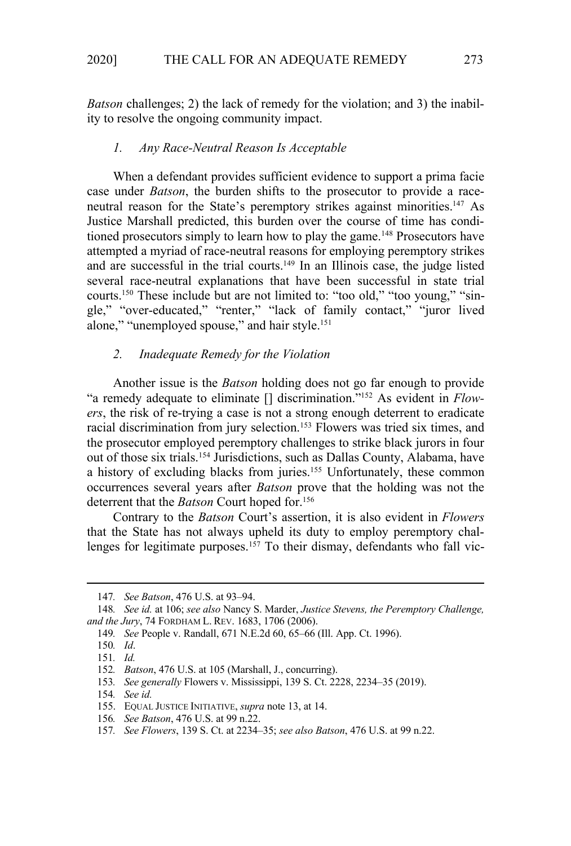*Batson* challenges; 2) the lack of remedy for the violation; and 3) the inability to resolve the ongoing community impact.

#### *1. Any Race-Neutral Reason Is Acceptable*

When a defendant provides sufficient evidence to support a prima facie case under *Batson*, the burden shifts to the prosecutor to provide a raceneutral reason for the State's peremptory strikes against minorities.<sup>147</sup> As Justice Marshall predicted, this burden over the course of time has conditioned prosecutors simply to learn how to play the game.<sup>148</sup> Prosecutors have attempted a myriad of race-neutral reasons for employing peremptory strikes and are successful in the trial courts.149 In an Illinois case, the judge listed several race-neutral explanations that have been successful in state trial courts.<sup>150</sup> These include but are not limited to: "too old," "too young," "single," "over-educated," "renter," "lack of family contact," "juror lived alone," "unemployed spouse," and hair style.<sup>151</sup>

# *2. Inadequate Remedy for the Violation*

Another issue is the *Batson* holding does not go far enough to provide "a remedy adequate to eliminate [] discrimination."152 As evident in *Flowers*, the risk of re-trying a case is not a strong enough deterrent to eradicate racial discrimination from jury selection.<sup>153</sup> Flowers was tried six times, and the prosecutor employed peremptory challenges to strike black jurors in four out of those six trials.154 Jurisdictions, such as Dallas County, Alabama, have a history of excluding blacks from juries.<sup>155</sup> Unfortunately, these common occurrences several years after *Batson* prove that the holding was not the deterrent that the *Batson* Court hoped for.156

Contrary to the *Batson* Court's assertion, it is also evident in *Flowers* that the State has not always upheld its duty to employ peremptory challenges for legitimate purposes.<sup>157</sup> To their dismay, defendants who fall vic-

153*. See generally* Flowers v. Mississippi, 139 S. Ct. 2228, 2234–35 (2019).

156*. See Batson*, 476 U.S. at 99 n.22.

<sup>147</sup>*. See Batson*, 476 U.S. at 93–94.

<sup>148</sup>*. See id.* at 106; *see also* Nancy S. Marder, *Justice Stevens, the Peremptory Challenge, and the Jury*, 74 FORDHAM L. REV. 1683, 1706 (2006).

<sup>149</sup>*. See* People v. Randall, 671 N.E.2d 60, 65–66 (Ill. App. Ct. 1996).

<sup>150</sup>*. Id*.

<sup>151</sup>*. Id.* 

<sup>152</sup>*. Batson*, 476 U.S. at 105 (Marshall, J., concurring).

<sup>154</sup>*. See id.*

<sup>155.</sup> EQUAL JUSTICE INITIATIVE, *supra* note 13, at 14.

<sup>157</sup>*. See Flowers*, 139 S. Ct. at 2234–35; *see also Batson*, 476 U.S. at 99 n.22.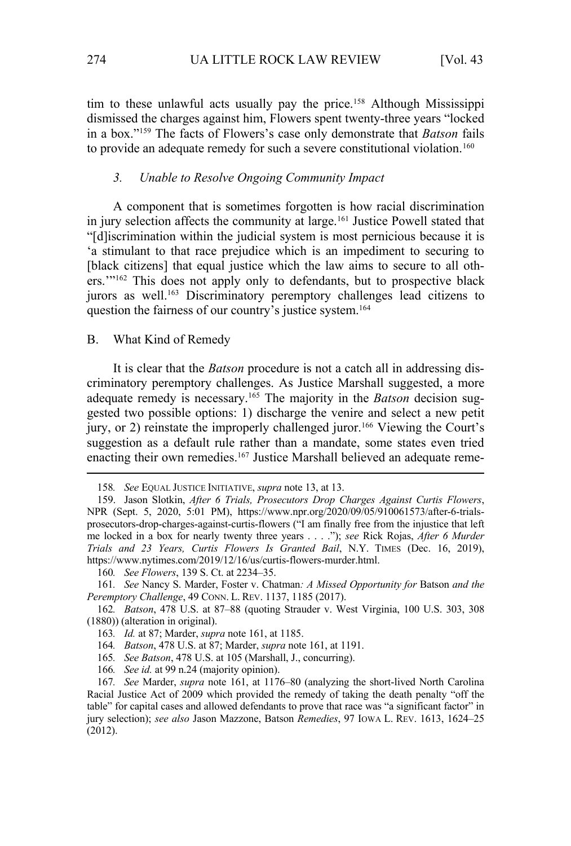tim to these unlawful acts usually pay the price.<sup>158</sup> Although Mississippi dismissed the charges against him, Flowers spent twenty-three years "locked in a box."159 The facts of Flowers's case only demonstrate that *Batson* fails to provide an adequate remedy for such a severe constitutional violation.<sup>160</sup>

## *3. Unable to Resolve Ongoing Community Impact*

A component that is sometimes forgotten is how racial discrimination in jury selection affects the community at large.<sup>161</sup> Justice Powell stated that "[d]iscrimination within the judicial system is most pernicious because it is 'a stimulant to that race prejudice which is an impediment to securing to [black citizens] that equal justice which the law aims to secure to all others."<sup>162</sup> This does not apply only to defendants, but to prospective black jurors as well.<sup>163</sup> Discriminatory peremptory challenges lead citizens to question the fairness of our country's justice system.164

### B. What Kind of Remedy

It is clear that the *Batson* procedure is not a catch all in addressing discriminatory peremptory challenges. As Justice Marshall suggested, a more adequate remedy is necessary.165 The majority in the *Batson* decision suggested two possible options: 1) discharge the venire and select a new petit jury, or 2) reinstate the improperly challenged juror.<sup>166</sup> Viewing the Court's suggestion as a default rule rather than a mandate, some states even tried enacting their own remedies.<sup>167</sup> Justice Marshall believed an adequate reme-

- 164*. Batson*, 478 U.S. at 87; Marder, *supra* note 161, at 1191.
- 165*. See Batson*, 478 U.S. at 105 (Marshall, J., concurring).
- 166*. See id.* at 99 n.24 (majority opinion).

<sup>158</sup>*. See* EQUAL JUSTICE INITIATIVE, *supra* note 13, at 13.

<sup>159.</sup> Jason Slotkin, *After 6 Trials, Prosecutors Drop Charges Against Curtis Flowers*, NPR (Sept. 5, 2020, 5:01 PM), https://www.npr.org/2020/09/05/910061573/after-6-trialsprosecutors-drop-charges-against-curtis-flowers ("I am finally free from the injustice that left me locked in a box for nearly twenty three years . . . ."); *see* Rick Rojas, *After 6 Murder Trials and 23 Years, Curtis Flowers Is Granted Bail*, N.Y. TIMES (Dec. 16, 2019), https://www.nytimes.com/2019/12/16/us/curtis-flowers-murder.html.

<sup>160</sup>*. See Flowers*, 139 S. Ct. at 2234–35.

<sup>161</sup>*. See* Nancy S. Marder, Foster v. Chatman*: A Missed Opportunity for* Batson *and the Peremptory Challenge*, 49 CONN. L. REV. 1137, 1185 (2017).

<sup>162</sup>*. Batson*, 478 U.S. at 87–88 (quoting Strauder v. West Virginia, 100 U.S. 303, 308 (1880)) (alteration in original).

<sup>163</sup>*. Id.* at 87; Marder, *supra* note 161, at 1185.

<sup>167</sup>*. See* Marder, *supra* note 161, at 1176–80 (analyzing the short-lived North Carolina Racial Justice Act of 2009 which provided the remedy of taking the death penalty "off the table" for capital cases and allowed defendants to prove that race was "a significant factor" in jury selection); *see also* Jason Mazzone, Batson *Remedies*, 97 IOWA L. REV. 1613, 1624–25 (2012).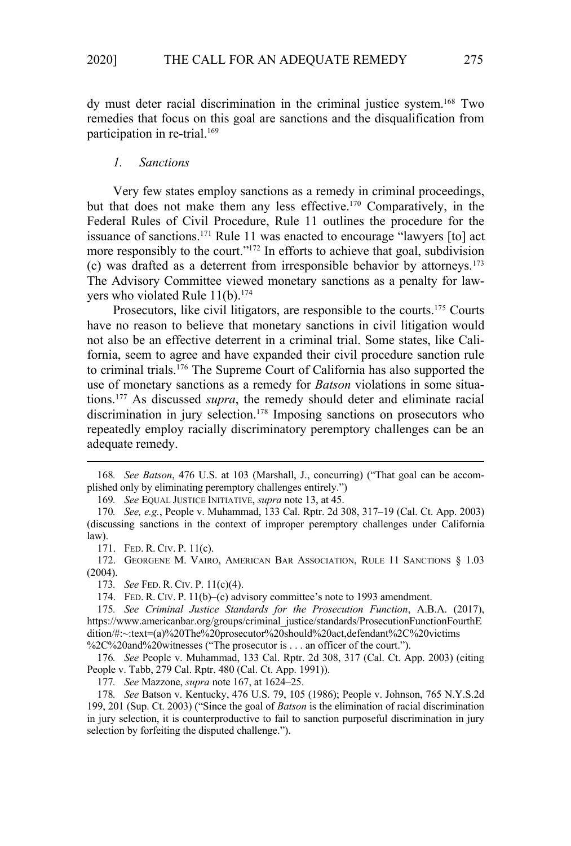dy must deter racial discrimination in the criminal justice system.168 Two remedies that focus on this goal are sanctions and the disqualification from participation in re-trial.169

#### *1. Sanctions*

Very few states employ sanctions as a remedy in criminal proceedings, but that does not make them any less effective.170 Comparatively, in the Federal Rules of Civil Procedure, Rule 11 outlines the procedure for the issuance of sanctions.171 Rule 11 was enacted to encourage "lawyers [to] act more responsibly to the court."<sup>172</sup> In efforts to achieve that goal, subdivision (c) was drafted as a deterrent from irresponsible behavior by attorneys.173 The Advisory Committee viewed monetary sanctions as a penalty for lawyers who violated Rule  $11(b)$ .<sup>174</sup>

Prosecutors, like civil litigators, are responsible to the courts.<sup>175</sup> Courts have no reason to believe that monetary sanctions in civil litigation would not also be an effective deterrent in a criminal trial. Some states, like California, seem to agree and have expanded their civil procedure sanction rule to criminal trials.176 The Supreme Court of California has also supported the use of monetary sanctions as a remedy for *Batson* violations in some situations.177 As discussed *supra*, the remedy should deter and eliminate racial discrimination in jury selection.<sup>178</sup> Imposing sanctions on prosecutors who repeatedly employ racially discriminatory peremptory challenges can be an adequate remedy.

169*. See* EQUAL JUSTICE INITIATIVE, *supra* note 13, at 45.

171. FED. R. CIV. P. 11(c).

172. GEORGENE M. VAIRO, AMERICAN BAR ASSOCIATION, RULE 11 SANCTIONS § 1.03  $(2004).$ 

173*. See* FED. R. CIV. P. 11(c)(4).

174. FED. R. CIV. P. 11(b)–(c) advisory committee's note to 1993 amendment.

177*. See* Mazzone, *supra* note 167, at 1624–25.

178*. See* Batson v. Kentucky, 476 U.S. 79, 105 (1986); People v. Johnson, 765 N.Y.S.2d 199, 201 (Sup. Ct. 2003) ("Since the goal of *Batson* is the elimination of racial discrimination in jury selection, it is counterproductive to fail to sanction purposeful discrimination in jury selection by forfeiting the disputed challenge.").

<sup>168</sup>*. See Batson*, 476 U.S. at 103 (Marshall, J., concurring) ("That goal can be accomplished only by eliminating peremptory challenges entirely.")

<sup>170</sup>*. See, e.g.*, People v. Muhammad, 133 Cal. Rptr. 2d 308, 317–19 (Cal. Ct. App. 2003) (discussing sanctions in the context of improper peremptory challenges under California law).

<sup>175</sup>*. See Criminal Justice Standards for the Prosecution Function*, A.B.A. (2017), https://www.americanbar.org/groups/criminal\_justice/standards/ProsecutionFunctionFourthE dition/#:~:text=(a)%20The%20prosecutor%20should%20act,defendant%2C%20victims %2C%20and%20witnesses ("The prosecutor is . . . an officer of the court.").

<sup>176</sup>*. See* People v. Muhammad, 133 Cal. Rptr. 2d 308, 317 (Cal. Ct. App. 2003) (citing People v. Tabb, 279 Cal. Rptr. 480 (Cal. Ct. App. 1991)).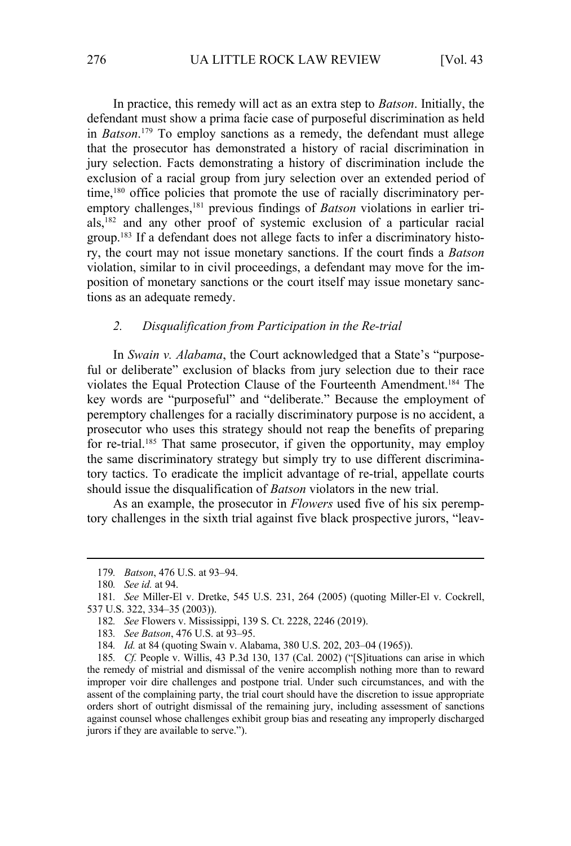In practice, this remedy will act as an extra step to *Batson*. Initially, the defendant must show a prima facie case of purposeful discrimination as held in *Batson*. 179 To employ sanctions as a remedy, the defendant must allege that the prosecutor has demonstrated a history of racial discrimination in jury selection. Facts demonstrating a history of discrimination include the exclusion of a racial group from jury selection over an extended period of time,<sup>180</sup> office policies that promote the use of racially discriminatory peremptory challenges,<sup>181</sup> previous findings of *Batson* violations in earlier trials,<sup>182</sup> and any other proof of systemic exclusion of a particular racial group.183 If a defendant does not allege facts to infer a discriminatory history, the court may not issue monetary sanctions. If the court finds a *Batson* violation, similar to in civil proceedings, a defendant may move for the imposition of monetary sanctions or the court itself may issue monetary sanctions as an adequate remedy.

## *2. Disqualification from Participation in the Re-trial*

In *Swain v. Alabama*, the Court acknowledged that a State's "purposeful or deliberate" exclusion of blacks from jury selection due to their race violates the Equal Protection Clause of the Fourteenth Amendment.184 The key words are "purposeful" and "deliberate." Because the employment of peremptory challenges for a racially discriminatory purpose is no accident, a prosecutor who uses this strategy should not reap the benefits of preparing for re-trial.<sup>185</sup> That same prosecutor, if given the opportunity, may employ the same discriminatory strategy but simply try to use different discriminatory tactics. To eradicate the implicit advantage of re-trial, appellate courts should issue the disqualification of *Batson* violators in the new trial.

As an example, the prosecutor in *Flowers* used five of his six peremptory challenges in the sixth trial against five black prospective jurors, "leav-

<sup>179</sup>*. Batson*, 476 U.S. at 93–94.

<sup>180</sup>*. See id.* at 94.

<sup>181</sup>*. See* Miller-El v. Dretke, 545 U.S. 231, 264 (2005) (quoting Miller-El v. Cockrell, 537 U.S. 322, 334–35 (2003)).

<sup>182</sup>*. See* Flowers v. Mississippi, 139 S. Ct. 2228, 2246 (2019).

<sup>183</sup>*. See Batson*, 476 U.S. at 93–95.

<sup>184</sup>*. Id.* at 84 (quoting Swain v. Alabama, 380 U.S. 202, 203–04 (1965)).

<sup>185</sup>*. Cf.* People v. Willis, 43 P.3d 130, 137 (Cal. 2002) ("[S]ituations can arise in which the remedy of mistrial and dismissal of the venire accomplish nothing more than to reward improper voir dire challenges and postpone trial. Under such circumstances, and with the assent of the complaining party, the trial court should have the discretion to issue appropriate orders short of outright dismissal of the remaining jury, including assessment of sanctions against counsel whose challenges exhibit group bias and reseating any improperly discharged jurors if they are available to serve.").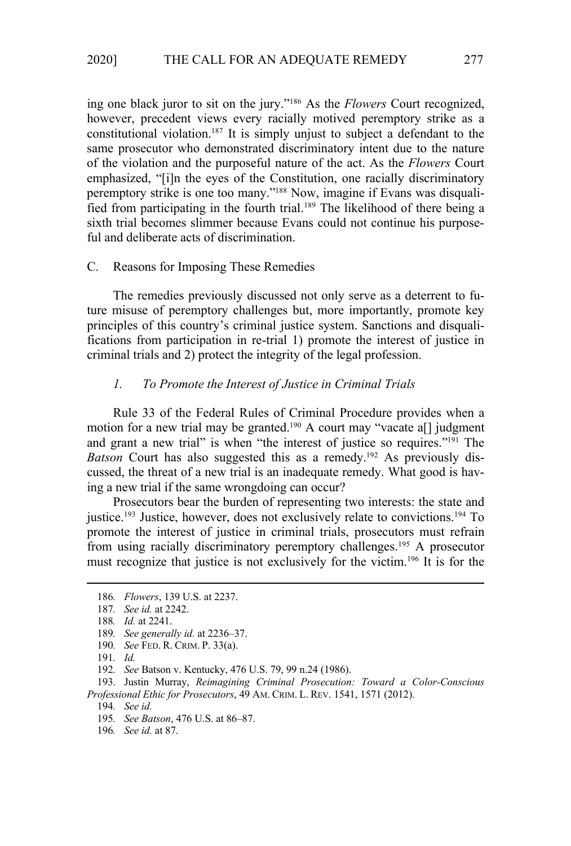ing one black juror to sit on the jury."186 As the *Flowers* Court recognized, however, precedent views every racially motived peremptory strike as a constitutional violation.187 It is simply unjust to subject a defendant to the same prosecutor who demonstrated discriminatory intent due to the nature of the violation and the purposeful nature of the act. As the *Flowers* Court emphasized, "[i]n the eyes of the Constitution, one racially discriminatory peremptory strike is one too many."188 Now, imagine if Evans was disqualified from participating in the fourth trial.189 The likelihood of there being a sixth trial becomes slimmer because Evans could not continue his purposeful and deliberate acts of discrimination.

### C. Reasons for Imposing These Remedies

The remedies previously discussed not only serve as a deterrent to future misuse of peremptory challenges but, more importantly, promote key principles of this country's criminal justice system. Sanctions and disqualifications from participation in re-trial 1) promote the interest of justice in criminal trials and 2) protect the integrity of the legal profession.

# *1. To Promote the Interest of Justice in Criminal Trials*

Rule 33 of the Federal Rules of Criminal Procedure provides when a motion for a new trial may be granted.<sup>190</sup> A court may "vacate a[] judgment and grant a new trial" is when "the interest of justice so requires."191 The *Batson* Court has also suggested this as a remedy.<sup>192</sup> As previously discussed, the threat of a new trial is an inadequate remedy. What good is having a new trial if the same wrongdoing can occur?

Prosecutors bear the burden of representing two interests: the state and justice.<sup>193</sup> Justice, however, does not exclusively relate to convictions.<sup>194</sup> To promote the interest of justice in criminal trials, prosecutors must refrain from using racially discriminatory peremptory challenges.195 A prosecutor must recognize that justice is not exclusively for the victim.196 It is for the

<sup>186</sup>*. Flowers*, 139 U.S. at 2237.

<sup>187</sup>*. See id.* at 2242.

<sup>188</sup>*. Id.* at 2241.

<sup>189</sup>*. See generally id.* at 2236–37.

<sup>190</sup>*. See* FED. R. CRIM. P. 33(a).

<sup>191</sup>*. Id.*

<sup>192</sup>*. See* Batson v. Kentucky, 476 U.S. 79, 99 n.24 (1986).

<sup>193.</sup> Justin Murray, *Reimagining Criminal Prosecution: Toward a Color-Conscious Professional Ethic for Prosecutors*, 49 AM. CRIM. L. REV. 1541, 1571 (2012).

<sup>194</sup>*. See id.*

<sup>195</sup>*. See Batson*, 476 U.S. at 86–87.

<sup>196</sup>*. See id.* at 87.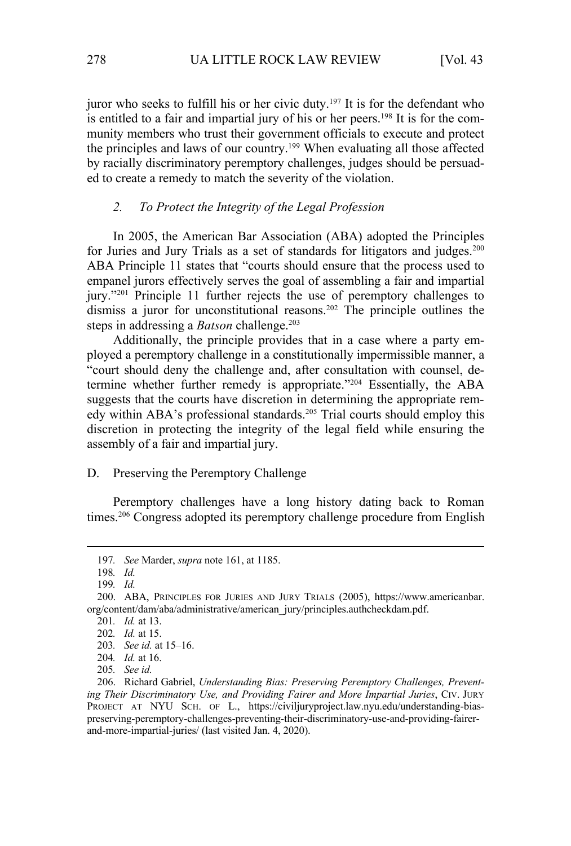juror who seeks to fulfill his or her civic duty.<sup>197</sup> It is for the defendant who is entitled to a fair and impartial jury of his or her peers.<sup>198</sup> It is for the community members who trust their government officials to execute and protect the principles and laws of our country.199 When evaluating all those affected by racially discriminatory peremptory challenges, judges should be persuaded to create a remedy to match the severity of the violation.

# *2. To Protect the Integrity of the Legal Profession*

In 2005, the American Bar Association (ABA) adopted the Principles for Juries and Jury Trials as a set of standards for litigators and judges.<sup>200</sup> ABA Principle 11 states that "courts should ensure that the process used to empanel jurors effectively serves the goal of assembling a fair and impartial jury."201 Principle 11 further rejects the use of peremptory challenges to dismiss a juror for unconstitutional reasons.<sup>202</sup> The principle outlines the steps in addressing a *Batson* challenge.<sup>203</sup>

Additionally, the principle provides that in a case where a party employed a peremptory challenge in a constitutionally impermissible manner, a "court should deny the challenge and, after consultation with counsel, determine whether further remedy is appropriate."204 Essentially, the ABA suggests that the courts have discretion in determining the appropriate remedy within ABA's professional standards.<sup>205</sup> Trial courts should employ this discretion in protecting the integrity of the legal field while ensuring the assembly of a fair and impartial jury.

# D. Preserving the Peremptory Challenge

Peremptory challenges have a long history dating back to Roman times.<sup>206</sup> Congress adopted its peremptory challenge procedure from English

<sup>197</sup>*. See* Marder, *supra* note 161, at 1185.

<sup>198</sup>*. Id.*

<sup>199</sup>*. Id.*

<sup>200.</sup> ABA, PRINCIPLES FOR JURIES AND JURY TRIALS (2005), https://www.americanbar. org/content/dam/aba/administrative/american\_jury/principles.authcheckdam.pdf.

<sup>201</sup>*. Id.* at 13.

<sup>202</sup>*. Id.* at 15.

<sup>203</sup>*. See id.* at 15–16.

<sup>204</sup>*. Id.* at 16.

<sup>205</sup>*. See id.*

<sup>206.</sup> Richard Gabriel, *Understanding Bias: Preserving Peremptory Challenges, Preventing Their Discriminatory Use, and Providing Fairer and More Impartial Juries*, CIV. JURY PROJECT AT NYU SCH. OF L., https://civiljuryproject.law.nyu.edu/understanding-biaspreserving-peremptory-challenges-preventing-their-discriminatory-use-and-providing-fairerand-more-impartial-juries/ (last visited Jan. 4, 2020).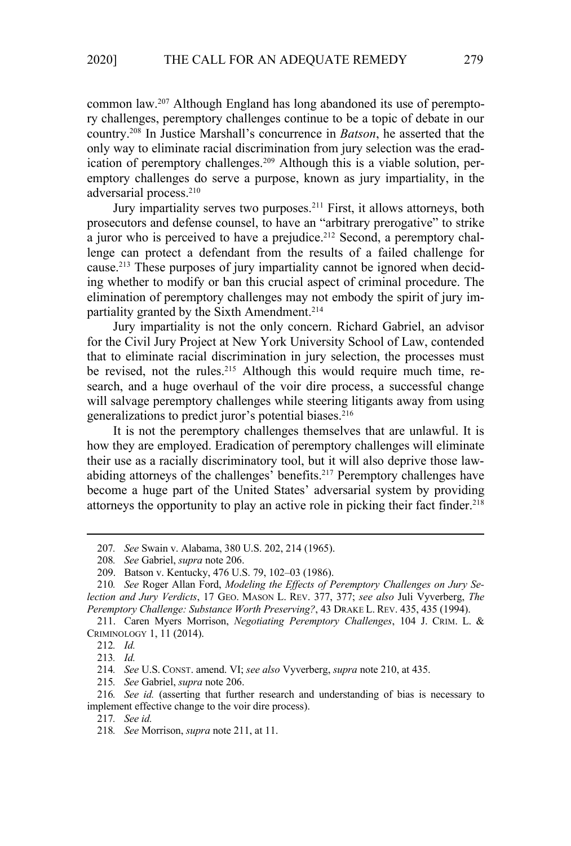common law.207 Although England has long abandoned its use of peremptory challenges, peremptory challenges continue to be a topic of debate in our country.208 In Justice Marshall's concurrence in *Batson*, he asserted that the only way to eliminate racial discrimination from jury selection was the eradication of peremptory challenges.<sup>209</sup> Although this is a viable solution, peremptory challenges do serve a purpose, known as jury impartiality, in the adversarial process.<sup>210</sup>

Jury impartiality serves two purposes.<sup>211</sup> First, it allows attorneys, both prosecutors and defense counsel, to have an "arbitrary prerogative" to strike a juror who is perceived to have a prejudice.<sup>212</sup> Second, a peremptory challenge can protect a defendant from the results of a failed challenge for cause.<sup>213</sup> These purposes of jury impartiality cannot be ignored when deciding whether to modify or ban this crucial aspect of criminal procedure. The elimination of peremptory challenges may not embody the spirit of jury impartiality granted by the Sixth Amendment.<sup>214</sup>

Jury impartiality is not the only concern. Richard Gabriel, an advisor for the Civil Jury Project at New York University School of Law, contended that to eliminate racial discrimination in jury selection, the processes must be revised, not the rules.<sup>215</sup> Although this would require much time, research, and a huge overhaul of the voir dire process, a successful change will salvage peremptory challenges while steering litigants away from using generalizations to predict juror's potential biases. $216$ 

It is not the peremptory challenges themselves that are unlawful. It is how they are employed. Eradication of peremptory challenges will eliminate their use as a racially discriminatory tool, but it will also deprive those lawabiding attorneys of the challenges' benefits.<sup>217</sup> Peremptory challenges have become a huge part of the United States' adversarial system by providing attorneys the opportunity to play an active role in picking their fact finder.<sup>218</sup>

214*. See* U.S. CONST. amend. VI; *see also* Vyverberg, *supra* note 210, at 435.

215*. See* Gabriel, *supra* note 206.

216*. See id.* (asserting that further research and understanding of bias is necessary to implement effective change to the voir dire process).

<sup>207</sup>*. See* Swain v. Alabama, 380 U.S. 202, 214 (1965).

<sup>208</sup>*. See* Gabriel, *supra* note 206.

<sup>209.</sup> Batson v. Kentucky, 476 U.S. 79, 102–03 (1986).

<sup>210</sup>*. See* Roger Allan Ford, *Modeling the Effects of Peremptory Challenges on Jury Selection and Jury Verdicts*, 17 GEO. MASON L. REV. 377, 377; *see also* Juli Vyverberg, *The Peremptory Challenge: Substance Worth Preserving?*, 43 DRAKE L. REV. 435, 435 (1994).

<sup>211.</sup> Caren Myers Morrison, *Negotiating Peremptory Challenges*, 104 J. CRIM. L. & CRIMINOLOGY 1, 11 (2014).

<sup>212</sup>*. Id.* 

<sup>213</sup>*. Id.*

<sup>217</sup>*. See id.*

<sup>218</sup>*. See* Morrison, *supra* note 211, at 11.